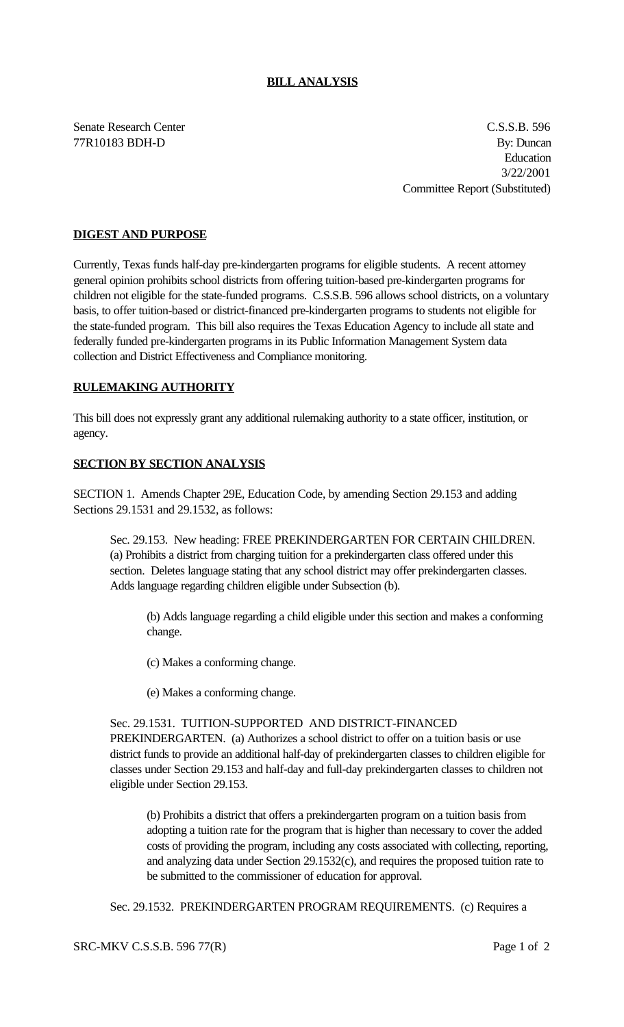## **BILL ANALYSIS**

Senate Research Center C.S.S.B. 596 77R10183 BDH-D By: Duncan Education 3/22/2001 Committee Report (Substituted)

## **DIGEST AND PURPOSE**

Currently, Texas funds half-day pre-kindergarten programs for eligible students. A recent attorney general opinion prohibits school districts from offering tuition-based pre-kindergarten programs for children not eligible for the state-funded programs. C.S.S.B. 596 allows school districts, on a voluntary basis, to offer tuition-based or district-financed pre-kindergarten programs to students not eligible for the state-funded program. This bill also requires the Texas Education Agency to include all state and federally funded pre-kindergarten programs in its Public Information Management System data collection and District Effectiveness and Compliance monitoring.

### **RULEMAKING AUTHORITY**

This bill does not expressly grant any additional rulemaking authority to a state officer, institution, or agency.

### **SECTION BY SECTION ANALYSIS**

SECTION 1. Amends Chapter 29E, Education Code, by amending Section 29.153 and adding Sections 29.1531 and 29.1532, as follows:

Sec. 29.153. New heading: FREE PREKINDERGARTEN FOR CERTAIN CHILDREN. (a) Prohibits a district from charging tuition for a prekindergarten class offered under this section. Deletes language stating that any school district may offer prekindergarten classes. Adds language regarding children eligible under Subsection (b).

(b) Adds language regarding a child eligible under this section and makes a conforming change.

(c) Makes a conforming change.

(e) Makes a conforming change.

#### Sec. 29.1531. TUITION-SUPPORTED AND DISTRICT-FINANCED

PREKINDERGARTEN. (a) Authorizes a school district to offer on a tuition basis or use district funds to provide an additional half-day of prekindergarten classes to children eligible for classes under Section 29.153 and half-day and full-day prekindergarten classes to children not eligible under Section 29.153.

(b) Prohibits a district that offers a prekindergarten program on a tuition basis from adopting a tuition rate for the program that is higher than necessary to cover the added costs of providing the program, including any costs associated with collecting, reporting, and analyzing data under Section 29.1532(c), and requires the proposed tuition rate to be submitted to the commissioner of education for approval.

Sec. 29.1532. PREKINDERGARTEN PROGRAM REQUIREMENTS. (c) Requires a